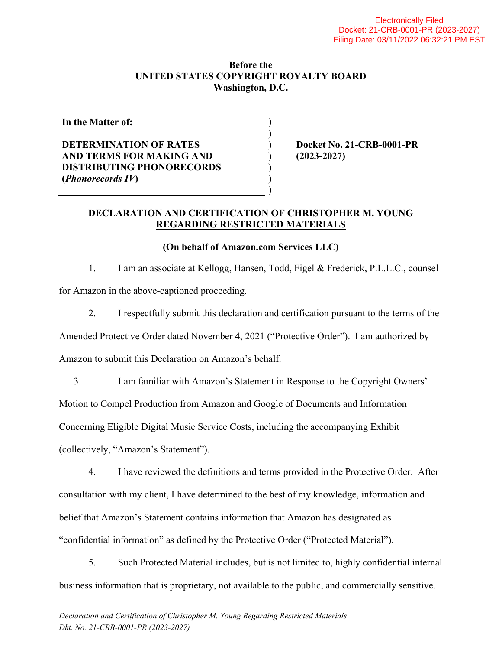#### **Before the UNITED STATES COPYRIGHT ROYALTY BOARD Washington, D.C.**

) )

> ) ) )

**In the Matter of:**

## **DETERMINATION OF RATES AND TERMS FOR MAKING AND DISTRIBUTING PHONORECORDS (***Phonorecords IV***)**

) **Docket No. 21-CRB-0001-PR** ) **(2023-2027)**

#### **DECLARATION AND CERTIFICATION OF CHRISTOPHER M. YOUNG REGARDING RESTRICTED MATERIALS**

### **(On behalf of Amazon.com Services LLC)**

1. I am an associate at Kellogg, Hansen, Todd, Figel & Frederick, P.L.L.C., counsel for Amazon in the above-captioned proceeding.

2. I respectfully submit this declaration and certification pursuant to the terms of the

Amended Protective Order dated November 4, 2021 ("Protective Order"). I am authorized by

Amazon to submit this Declaration on Amazon's behalf.

3. I am familiar with Amazon's Statement in Response to the Copyright Owners'

Motion to Compel Production from Amazon and Google of Documents and Information

Concerning Eligible Digital Music Service Costs, including the accompanying Exhibit

(collectively, "Amazon's Statement").

4. I have reviewed the definitions and terms provided in the Protective Order. After consultation with my client, I have determined to the best of my knowledge, information and belief that Amazon's Statement contains information that Amazon has designated as "confidential information" as defined by the Protective Order ("Protected Material").

5. Such Protected Material includes, but is not limited to, highly confidential internal business information that is proprietary, not available to the public, and commercially sensitive.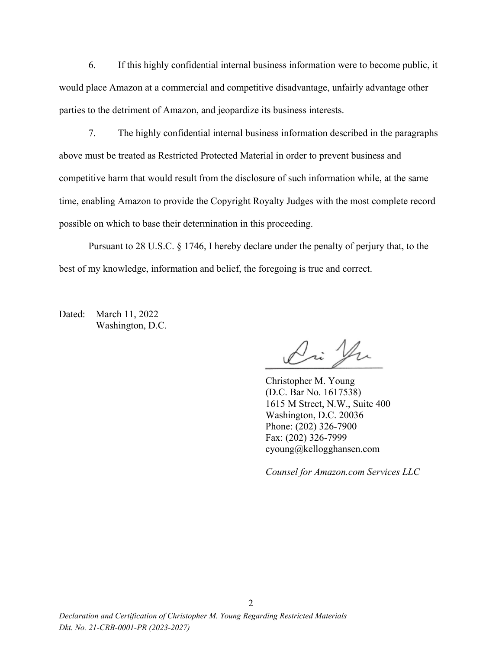6. If this highly confidential internal business information were to become public, it would place Amazon at a commercial and competitive disadvantage, unfairly advantage other parties to the detriment of Amazon, and jeopardize its business interests.

7. The highly confidential internal business information described in the paragraphs above must be treated as Restricted Protected Material in order to prevent business and competitive harm that would result from the disclosure of such information while, at the same time, enabling Amazon to provide the Copyright Royalty Judges with the most complete record possible on which to base their determination in this proceeding.

Pursuant to 28 U.S.C. § 1746, I hereby declare under the penalty of perjury that, to the best of my knowledge, information and belief, the foregoing is true and correct.

Dated: March 11, 2022 Washington, D.C.

Dri Yu

Christopher M. Young (D.C. Bar No. 1617538) 1615 M Street, N.W., Suite 400 Washington, D.C. 20036 Phone: (202) 326-7900 Fax: (202) 326-7999 cyoung@kellogghansen.com

*Counsel for Amazon.com Services LLC*